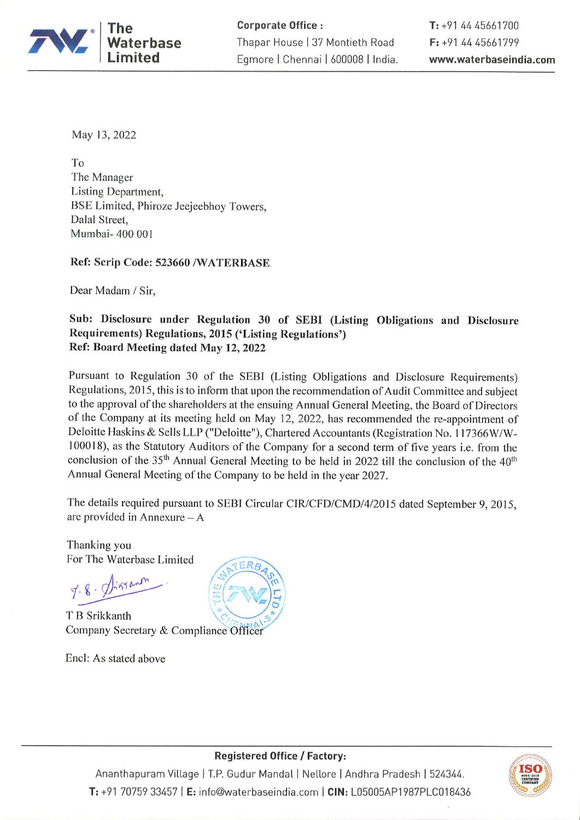

May 13, 2022

To The Manager Listing Department, BSE Limited, Phiroze Jeejeebhoy Towers, Dalal Street, Mumbai- 400 001

Ref: Scrip Code: 523660 /WATERBASE

Dear Madam / Sir,

## Sub: Disclosure under Regulation 30 of SEBI (Listing Obligations and Disclosure Requirements) Regulations, 2015 ('Listing Regulations') Ref: Board Meeting dated May 12, 2022

Pursuant to Regulation 30 of the SEBI (Listing Obligations and Disclosure Requirements) Regulations, 2015, this is to inform that upon the recommendation of Audit Committee and subject to the approval of the shareholders at the ensuing Annual General Meeting, the Board of Directors of the Company at its meeting held on May 12, 2022, has recommended the re-appointment of Deloitte Haskins & Sells LLP ("Deloitte"), Chartered Accountants (Registration No. 117366W/W-100018), as the Statutory Auditors of the Company for a second term of five years i.e. from the conclusion of the 35<sup>th</sup> Annual General Meeting to be held in 2022 till the conclusion of the 40<sup>th</sup> Annual General Meeting of the Company to be held in the year 2027.

The details required pursuant to SEBI Circular CIR/CFD/CMD/4/2015 dated September 9, 2015, are provided in Annexure  $-A$ 

Thanking you For The Waterbase Limited

T B Srikkanth Company Secretary & Compliance Officer

Encl: As stated above





**Registered Office / Factory:** 

Ananthapuram Village | T.P. Gudur Mandal | Nellore | Andhra Pradesh | 524344. T: +91 70759 33457 | E: info@waterbaseindia.com | CIN: L05005AP1987PLC018436